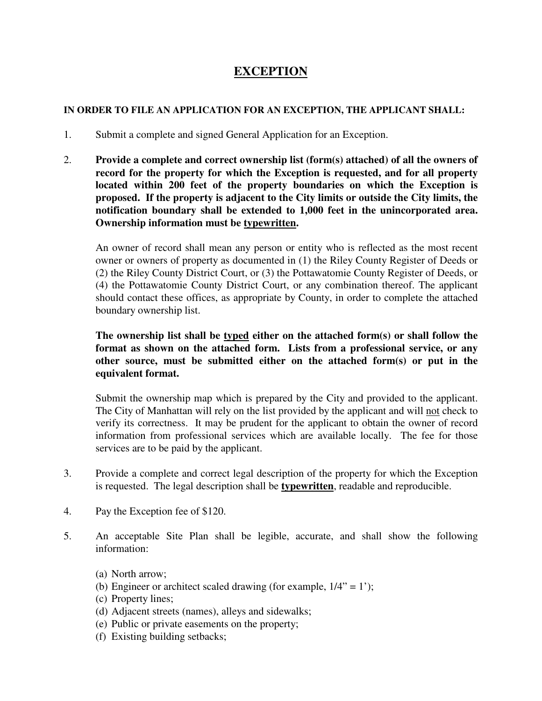## **EXCEPTION**

## **IN ORDER TO FILE AN APPLICATION FOR AN EXCEPTION, THE APPLICANT SHALL:**

- 1. Submit a complete and signed General Application for an Exception.
- 2. **Provide a complete and correct ownership list (form(s) attached) of all the owners of record for the property for which the Exception is requested, and for all property located within 200 feet of the property boundaries on which the Exception is proposed. If the property is adjacent to the City limits or outside the City limits, the notification boundary shall be extended to 1,000 feet in the unincorporated area. Ownership information must be typewritten.**

An owner of record shall mean any person or entity who is reflected as the most recent owner or owners of property as documented in (1) the Riley County Register of Deeds or (2) the Riley County District Court, or (3) the Pottawatomie County Register of Deeds, or (4) the Pottawatomie County District Court, or any combination thereof. The applicant should contact these offices, as appropriate by County, in order to complete the attached boundary ownership list.

## **The ownership list shall be typed either on the attached form(s) or shall follow the format as shown on the attached form. Lists from a professional service, or any other source, must be submitted either on the attached form(s) or put in the equivalent format.**

Submit the ownership map which is prepared by the City and provided to the applicant. The City of Manhattan will rely on the list provided by the applicant and will not check to verify its correctness. It may be prudent for the applicant to obtain the owner of record information from professional services which are available locally. The fee for those services are to be paid by the applicant.

- 3. Provide a complete and correct legal description of the property for which the Exception is requested. The legal description shall be **typewritten**, readable and reproducible.
- 4. Pay the Exception fee of \$120.
- 5. An acceptable Site Plan shall be legible, accurate, and shall show the following information:
	- (a) North arrow;
	- (b) Engineer or architect scaled drawing (for example,  $1/4$ " = 1');
	- (c) Property lines;
	- (d) Adjacent streets (names), alleys and sidewalks;
	- (e) Public or private easements on the property;
	- (f) Existing building setbacks;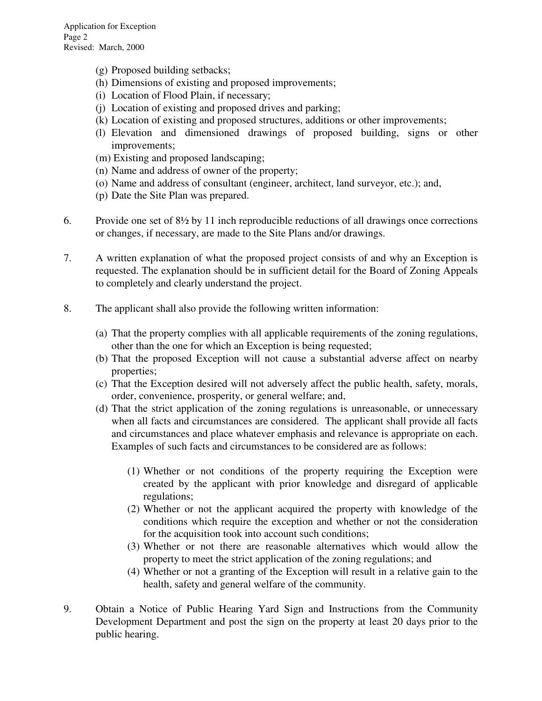- (g) Proposed building setbacks;
- (h) Dimensions of existing and proposed improvements;
- (i) Location of Flood Plain, if necessary;
- (j) Location of existing and proposed drives and parking;
- (k) Location of existing and proposed structures, additions or other improvements;
- (l) Elevation and dimensioned drawings of proposed building, signs or other improvements;
- (m) Existing and proposed landscaping;
- (n) Name and address of owner of the property;
- (o) Name and address of consultant (engineer, architect, land surveyor, etc.); and,
- (p) Date the Site Plan was prepared.
- 6. Provide one set of 8½ by 11 inch reproducible reductions of all drawings once corrections or changes, if necessary, are made to the Site Plans and/or drawings.
- 7. A written explanation of what the proposed project consists of and why an Exception is requested. The explanation should be in sufficient detail for the Board of Zoning Appeals to completely and clearly understand the project.
- 8. The applicant shall also provide the following written information:
	- (a) That the property complies with all applicable requirements of the zoning regulations, other than the one for which an Exception is being requested;
	- (b) That the proposed Exception will not cause a substantial adverse affect on nearby properties;
	- (c) That the Exception desired will not adversely affect the public health, safety, morals, order, convenience, prosperity, or general welfare; and,
	- (d) That the strict application of the zoning regulations is unreasonable, or unnecessary when all facts and circumstances are considered. The applicant shall provide all facts and circumstances and place whatever emphasis and relevance is appropriate on each. Examples of such facts and circumstances to be considered are as follows:
		- (1) Whether or not conditions of the property requiring the Exception were created by the applicant with prior knowledge and disregard of applicable regulations;
		- (2) Whether or not the applicant acquired the property with knowledge of the conditions which require the exception and whether or not the consideration for the acquisition took into account such conditions;
		- (3) Whether or not there are reasonable alternatives which would allow the property to meet the strict application of the zoning regulations; and
		- (4) Whether or not a granting of the Exception will result in a relative gain to the health, safety and general welfare of the community.
- 9. Obtain a Notice of Public Hearing Yard Sign and Instructions from the Community Development Department and post the sign on the property at least 20 days prior to the public hearing.